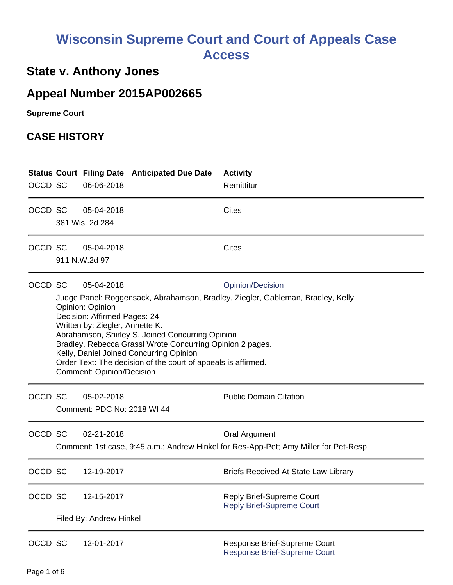# **Wisconsin Supreme Court and Court of Appeals Case Access**

## **State v. Anthony Jones**

## **Appeal Number 2015AP002665**

**Supreme Court** 

#### **CASE HISTORY**

| OCCD SC |                                                                                                                                                                                                                                                                                                                                                                                                                                                                           | 06-06-2018                                | <b>Status Court Filing Date Anticipated Due Date</b> | <b>Activity</b><br>Remittitur                                                                         |
|---------|---------------------------------------------------------------------------------------------------------------------------------------------------------------------------------------------------------------------------------------------------------------------------------------------------------------------------------------------------------------------------------------------------------------------------------------------------------------------------|-------------------------------------------|------------------------------------------------------|-------------------------------------------------------------------------------------------------------|
| OCCD SC |                                                                                                                                                                                                                                                                                                                                                                                                                                                                           | 05-04-2018<br>381 Wis. 2d 284             |                                                      | Cites                                                                                                 |
| OCCD SC |                                                                                                                                                                                                                                                                                                                                                                                                                                                                           | 05-04-2018<br>911 N.W.2d 97               |                                                      | <b>Cites</b>                                                                                          |
| OCCD SC | 05-04-2018<br>Opinion/Decision<br>Judge Panel: Roggensack, Abrahamson, Bradley, Ziegler, Gableman, Bradley, Kelly<br>Opinion: Opinion<br>Decision: Affirmed Pages: 24<br>Written by: Ziegler, Annette K.<br>Abrahamson, Shirley S. Joined Concurring Opinion<br>Bradley, Rebecca Grassl Wrote Concurring Opinion 2 pages.<br>Kelly, Daniel Joined Concurring Opinion<br>Order Text: The decision of the court of appeals is affirmed.<br><b>Comment: Opinion/Decision</b> |                                           |                                                      |                                                                                                       |
| OCCD SC |                                                                                                                                                                                                                                                                                                                                                                                                                                                                           | 05-02-2018<br>Comment: PDC No: 2018 WI 44 |                                                      | <b>Public Domain Citation</b>                                                                         |
| OCCD SC |                                                                                                                                                                                                                                                                                                                                                                                                                                                                           | 02-21-2018                                |                                                      | Oral Argument<br>Comment: 1st case, 9:45 a.m.; Andrew Hinkel for Res-App-Pet; Amy Miller for Pet-Resp |
| OCCD SC |                                                                                                                                                                                                                                                                                                                                                                                                                                                                           | 12-19-2017                                |                                                      | <b>Briefs Received At State Law Library</b>                                                           |
| OCCD SC |                                                                                                                                                                                                                                                                                                                                                                                                                                                                           | 12-15-2017<br>Filed By: Andrew Hinkel     |                                                      | Reply Brief-Supreme Court<br><b>Reply Brief-Supreme Court</b>                                         |
| OCCD SC |                                                                                                                                                                                                                                                                                                                                                                                                                                                                           | 12-01-2017                                |                                                      | Response Brief-Supreme Court<br><b>Response Brief-Supreme Court</b>                                   |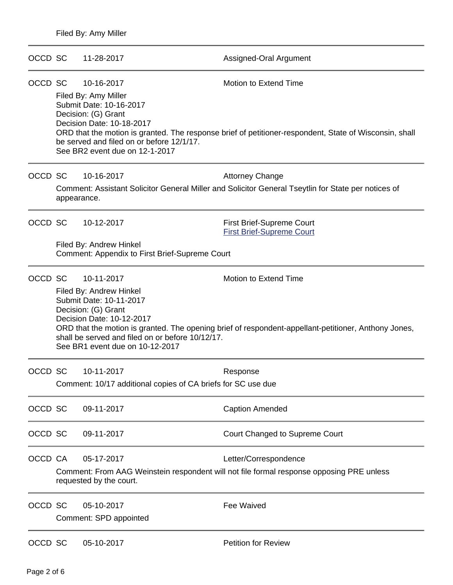| OCCD SC |                                                                                                                                                            | 11-28-2017                                                                                                                                                                                                  | Assigned-Oral Argument                                                                                                                 |
|---------|------------------------------------------------------------------------------------------------------------------------------------------------------------|-------------------------------------------------------------------------------------------------------------------------------------------------------------------------------------------------------------|----------------------------------------------------------------------------------------------------------------------------------------|
| OCCD SC |                                                                                                                                                            | 10-16-2017<br>Filed By: Amy Miller<br>Submit Date: 10-16-2017<br>Decision: (G) Grant<br>Decision Date: 10-18-2017<br>be served and filed on or before 12/1/17.<br>See BR2 event due on 12-1-2017            | <b>Motion to Extend Time</b><br>ORD that the motion is granted. The response brief of petitioner-respondent, State of Wisconsin, shall |
| OCCD SC | appearance.                                                                                                                                                | 10-16-2017                                                                                                                                                                                                  | <b>Attorney Change</b><br>Comment: Assistant Solicitor General Miller and Solicitor General Tseytlin for State per notices of          |
| OCCD SC |                                                                                                                                                            | 10-12-2017<br>Filed By: Andrew Hinkel<br>Comment: Appendix to First Brief-Supreme Court                                                                                                                     | <b>First Brief-Supreme Court</b><br><b>First Brief-Supreme Court</b>                                                                   |
| OCCD SC |                                                                                                                                                            | 10-11-2017<br>Filed By: Andrew Hinkel<br>Submit Date: 10-11-2017<br>Decision: (G) Grant<br>Decision Date: 10-12-2017<br>shall be served and filed on or before 10/12/17.<br>See BR1 event due on 10-12-2017 | <b>Motion to Extend Time</b><br>ORD that the motion is granted. The opening brief of respondent-appellant-petitioner, Anthony Jones,   |
| OCCD SC |                                                                                                                                                            | 10-11-2017<br>Comment: 10/17 additional copies of CA briefs for SC use due                                                                                                                                  | Response                                                                                                                               |
| OCCD SC |                                                                                                                                                            | 09-11-2017                                                                                                                                                                                                  | <b>Caption Amended</b>                                                                                                                 |
| OCCD SC |                                                                                                                                                            | 09-11-2017                                                                                                                                                                                                  | Court Changed to Supreme Court                                                                                                         |
| OCCD CA | 05-17-2017<br>Letter/Correspondence<br>Comment: From AAG Weinstein respondent will not file formal response opposing PRE unless<br>requested by the court. |                                                                                                                                                                                                             |                                                                                                                                        |
| OCCD SC |                                                                                                                                                            | 05-10-2017<br>Comment: SPD appointed                                                                                                                                                                        | <b>Fee Waived</b>                                                                                                                      |
| OCCD SC |                                                                                                                                                            | 05-10-2017                                                                                                                                                                                                  | <b>Petition for Review</b>                                                                                                             |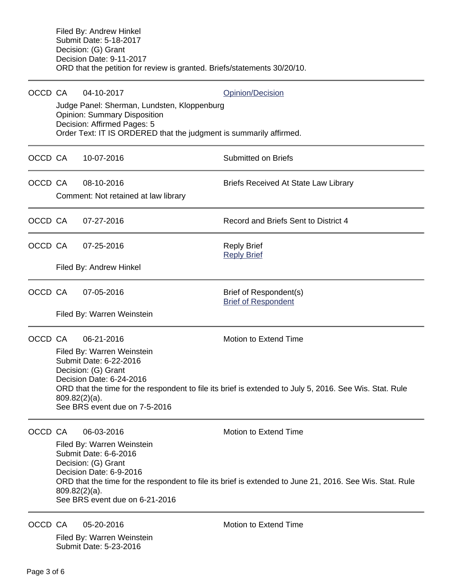| OCCD CA |                                                                                                                                                                                                                                                                                                                       | 04-10-2017<br>Judge Panel: Sherman, Lundsten, Kloppenburg<br><b>Opinion: Summary Disposition</b><br>Decision: Affirmed Pages: 5<br>Order Text: IT IS ORDERED that the judgment is summarily affirmed. | <b>Opinion/Decision</b>                              |  |  |  |
|---------|-----------------------------------------------------------------------------------------------------------------------------------------------------------------------------------------------------------------------------------------------------------------------------------------------------------------------|-------------------------------------------------------------------------------------------------------------------------------------------------------------------------------------------------------|------------------------------------------------------|--|--|--|
| OCCD CA |                                                                                                                                                                                                                                                                                                                       | 10-07-2016                                                                                                                                                                                            | <b>Submitted on Briefs</b>                           |  |  |  |
| OCCD CA |                                                                                                                                                                                                                                                                                                                       | 08-10-2016<br>Comment: Not retained at law library                                                                                                                                                    | <b>Briefs Received At State Law Library</b>          |  |  |  |
| OCCD CA |                                                                                                                                                                                                                                                                                                                       | 07-27-2016                                                                                                                                                                                            | Record and Briefs Sent to District 4                 |  |  |  |
| OCCD CA |                                                                                                                                                                                                                                                                                                                       | 07-25-2016                                                                                                                                                                                            | <b>Reply Brief</b><br><b>Reply Brief</b>             |  |  |  |
|         |                                                                                                                                                                                                                                                                                                                       | Filed By: Andrew Hinkel                                                                                                                                                                               |                                                      |  |  |  |
| OCCD CA |                                                                                                                                                                                                                                                                                                                       | 07-05-2016                                                                                                                                                                                            | Brief of Respondent(s)<br><b>Brief of Respondent</b> |  |  |  |
|         |                                                                                                                                                                                                                                                                                                                       | Filed By: Warren Weinstein                                                                                                                                                                            |                                                      |  |  |  |
| OCCD CA | 06-21-2016<br><b>Motion to Extend Time</b><br>Filed By: Warren Weinstein<br>Submit Date: 6-22-2016<br>Decision: (G) Grant<br>Decision Date: 6-24-2016<br>ORD that the time for the respondent to file its brief is extended to July 5, 2016. See Wis. Stat. Rule<br>$809.82(2)(a)$ .<br>See BRS event due on 7-5-2016 |                                                                                                                                                                                                       |                                                      |  |  |  |
| OCCD CA | Motion to Extend Time<br>06-03-2016<br>Filed By: Warren Weinstein<br>Submit Date: 6-6-2016<br>Decision: (G) Grant<br>Decision Date: 6-9-2016<br>ORD that the time for the respondent to file its brief is extended to June 21, 2016. See Wis. Stat. Rule<br>$809.82(2)(a)$ .<br>See BRS event due on 6-21-2016        |                                                                                                                                                                                                       |                                                      |  |  |  |
| OCCD CA |                                                                                                                                                                                                                                                                                                                       | 05-20-2016                                                                                                                                                                                            | Motion to Extend Time                                |  |  |  |

Filed By: Warren Weinstein Submit Date: 5-23-2016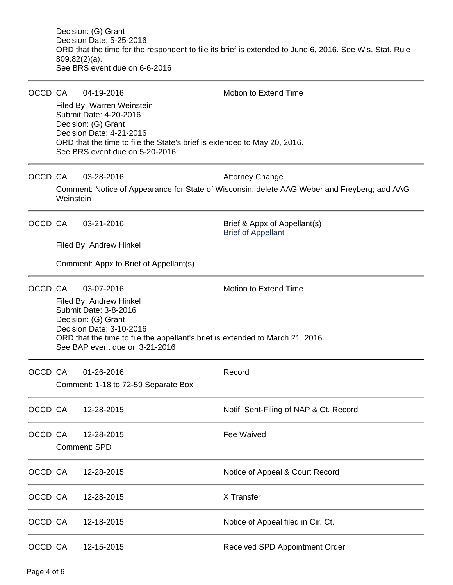Decision: (G) Grant Decision Date: 5-25-2016 ORD that the time for the respondent to file its brief is extended to June 6, 2016. See Wis. Stat. Rule 809.82(2)(a). See BRS event due on 6-6-2016

| OCCD CA |                     | 04-19-2016                                                                                                       | <b>Motion to Extend Time</b>                                                                 |  |  |  |  |
|---------|---------------------|------------------------------------------------------------------------------------------------------------------|----------------------------------------------------------------------------------------------|--|--|--|--|
|         |                     | Filed By: Warren Weinstein<br>Submit Date: 4-20-2016                                                             |                                                                                              |  |  |  |  |
|         |                     | Decision: (G) Grant<br>Decision Date: 4-21-2016                                                                  |                                                                                              |  |  |  |  |
|         |                     | ORD that the time to file the State's brief is extended to May 20, 2016.<br>See BRS event due on 5-20-2016       |                                                                                              |  |  |  |  |
| OCCD CA |                     | 03-28-2016                                                                                                       | <b>Attorney Change</b>                                                                       |  |  |  |  |
|         | Weinstein           |                                                                                                                  | Comment: Notice of Appearance for State of Wisconsin; delete AAG Weber and Freyberg; add AAG |  |  |  |  |
| OCCD CA |                     | 03-21-2016                                                                                                       | Brief & Appx of Appellant(s)<br><b>Brief of Appellant</b>                                    |  |  |  |  |
|         |                     | Filed By: Andrew Hinkel                                                                                          |                                                                                              |  |  |  |  |
|         |                     | Comment: Appx to Brief of Appellant(s)                                                                           |                                                                                              |  |  |  |  |
| OCCD CA |                     | 03-07-2016                                                                                                       | <b>Motion to Extend Time</b>                                                                 |  |  |  |  |
|         |                     | Filed By: Andrew Hinkel<br>Submit Date: 3-8-2016                                                                 |                                                                                              |  |  |  |  |
|         |                     | Decision: (G) Grant                                                                                              |                                                                                              |  |  |  |  |
|         |                     | Decision Date: 3-10-2016                                                                                         |                                                                                              |  |  |  |  |
|         |                     | ORD that the time to file the appellant's brief is extended to March 21, 2016.<br>See BAP event due on 3-21-2016 |                                                                                              |  |  |  |  |
| OCCD CA |                     | 01-26-2016                                                                                                       | Record                                                                                       |  |  |  |  |
|         |                     | Comment: 1-18 to 72-59 Separate Box                                                                              |                                                                                              |  |  |  |  |
| OCCD CA |                     | 12-28-2015                                                                                                       | Notif. Sent-Filing of NAP & Ct. Record                                                       |  |  |  |  |
| OCCD CA |                     | 12-28-2015                                                                                                       | <b>Fee Waived</b>                                                                            |  |  |  |  |
|         | <b>Comment: SPD</b> |                                                                                                                  |                                                                                              |  |  |  |  |
| OCCD CA |                     | 12-28-2015                                                                                                       | Notice of Appeal & Court Record                                                              |  |  |  |  |
| OCCD CA |                     | 12-28-2015                                                                                                       | X Transfer                                                                                   |  |  |  |  |
| OCCD CA |                     | 12-18-2015                                                                                                       | Notice of Appeal filed in Cir. Ct.                                                           |  |  |  |  |
| OCCD CA |                     | 12-15-2015                                                                                                       | <b>Received SPD Appointment Order</b>                                                        |  |  |  |  |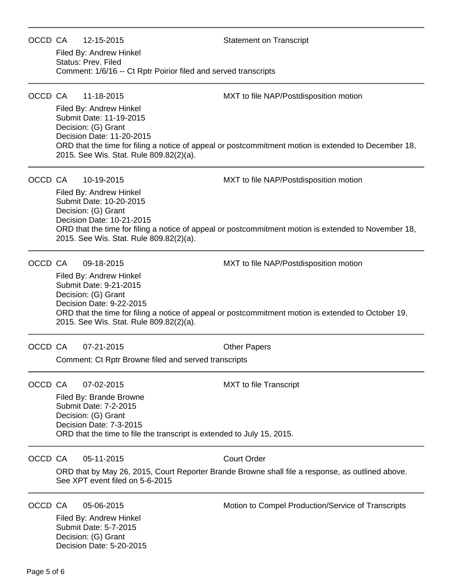| OCCD CA | 12-15-2015                                                                                                                                        | <b>Statement on Transcript</b>                                                                       |  |  |  |
|---------|---------------------------------------------------------------------------------------------------------------------------------------------------|------------------------------------------------------------------------------------------------------|--|--|--|
|         | Filed By: Andrew Hinkel                                                                                                                           |                                                                                                      |  |  |  |
|         | Status: Prev. Filed<br>Comment: 1/6/16 -- Ct Rptr Poirior filed and served transcripts                                                            |                                                                                                      |  |  |  |
| OCCD CA | 11-18-2015                                                                                                                                        | MXT to file NAP/Postdisposition motion                                                               |  |  |  |
|         | Filed By: Andrew Hinkel<br>Submit Date: 11-19-2015<br>Decision: (G) Grant<br>Decision Date: 11-20-2015<br>2015. See Wis. Stat. Rule 809.82(2)(a). | ORD that the time for filing a notice of appeal or postcommitment motion is extended to December 18, |  |  |  |
| OCCD CA | 10-19-2015                                                                                                                                        | MXT to file NAP/Postdisposition motion                                                               |  |  |  |
|         | Filed By: Andrew Hinkel<br>Submit Date: 10-20-2015<br>Decision: (G) Grant<br>Decision Date: 10-21-2015<br>2015. See Wis. Stat. Rule 809.82(2)(a). | ORD that the time for filing a notice of appeal or postcommitment motion is extended to November 18, |  |  |  |
| OCCD CA | 09-18-2015                                                                                                                                        | MXT to file NAP/Postdisposition motion                                                               |  |  |  |
|         | Filed By: Andrew Hinkel<br>Submit Date: 9-21-2015                                                                                                 |                                                                                                      |  |  |  |
|         | Decision: (G) Grant                                                                                                                               |                                                                                                      |  |  |  |
|         | Decision Date: 9-22-2015<br>2015. See Wis. Stat. Rule 809.82(2)(a).                                                                               | ORD that the time for filing a notice of appeal or postcommitment motion is extended to October 19,  |  |  |  |
| OCCD CA | 07-21-2015                                                                                                                                        | <b>Other Papers</b>                                                                                  |  |  |  |
|         | Comment: Ct Rptr Browne filed and served transcripts                                                                                              |                                                                                                      |  |  |  |
| OCCD CA | 07-02-2015                                                                                                                                        | <b>MXT</b> to file Transcript                                                                        |  |  |  |
|         | Filed By: Brande Browne<br><b>Submit Date: 7-2-2015</b>                                                                                           |                                                                                                      |  |  |  |
|         | Decision: (G) Grant                                                                                                                               |                                                                                                      |  |  |  |
|         | Decision Date: 7-3-2015<br>ORD that the time to file the transcript is extended to July 15, 2015.                                                 |                                                                                                      |  |  |  |
| OCCD CA | 05-11-2015                                                                                                                                        | <b>Court Order</b>                                                                                   |  |  |  |
|         | See XPT event filed on 5-6-2015                                                                                                                   | ORD that by May 26, 2015, Court Reporter Brande Browne shall file a response, as outlined above.     |  |  |  |
| OCCD CA | 05-06-2015                                                                                                                                        | Motion to Compel Production/Service of Transcripts                                                   |  |  |  |
|         | Filed By: Andrew Hinkel<br>Submit Date: 5-7-2015                                                                                                  |                                                                                                      |  |  |  |
|         | Decision: (G) Grant                                                                                                                               |                                                                                                      |  |  |  |
|         | Decision Date: 5-20-2015                                                                                                                          |                                                                                                      |  |  |  |